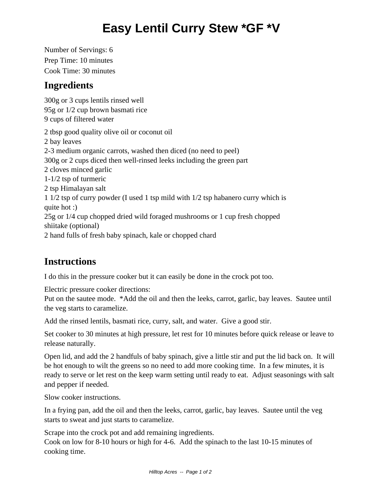## **Easy Lentil Curry Stew \*GF \*V**

Number of Servings: 6 Prep Time: 10 minutes Cook Time: 30 minutes

## **Ingredients**

300g or 3 cups lentils rinsed well 95g or 1/2 cup brown basmati rice 9 cups of filtered water 2 tbsp good quality olive oil or coconut oil 2 bay leaves 2-3 medium organic carrots, washed then diced (no need to peel) 300g or 2 cups diced then well-rinsed leeks including the green part 2 cloves minced garlic 1-1/2 tsp of turmeric 2 tsp Himalayan salt 1 1/2 tsp of curry powder (I used 1 tsp mild with 1/2 tsp habanero curry which is quite hot :) 25g or 1/4 cup chopped dried wild foraged mushrooms or 1 cup fresh chopped shiitake (optional) 2 hand fulls of fresh baby spinach, kale or chopped chard

## **Instructions**

I do this in the pressure cooker but it can easily be done in the crock pot too.

Electric pressure cooker directions:

Put on the sautee mode. \*Add the oil and then the leeks, carrot, garlic, bay leaves. Sautee until the veg starts to caramelize.

Add the rinsed lentils, basmati rice, curry, salt, and water. Give a good stir.

Set cooker to 30 minutes at high pressure, let rest for 10 minutes before quick release or leave to release naturally.

Open lid, and add the 2 handfuls of baby spinach, give a little stir and put the lid back on. It will be hot enough to wilt the greens so no need to add more cooking time. In a few minutes, it is ready to serve or let rest on the keep warm setting until ready to eat. Adjust seasonings with salt and pepper if needed.

Slow cooker instructions.

In a frying pan, add the oil and then the leeks, carrot, garlic, bay leaves. Sautee until the veg starts to sweat and just starts to caramelize.

Scrape into the crock pot and add remaining ingredients.

Cook on low for 8-10 hours or high for 4-6. Add the spinach to the last 10-15 minutes of cooking time.